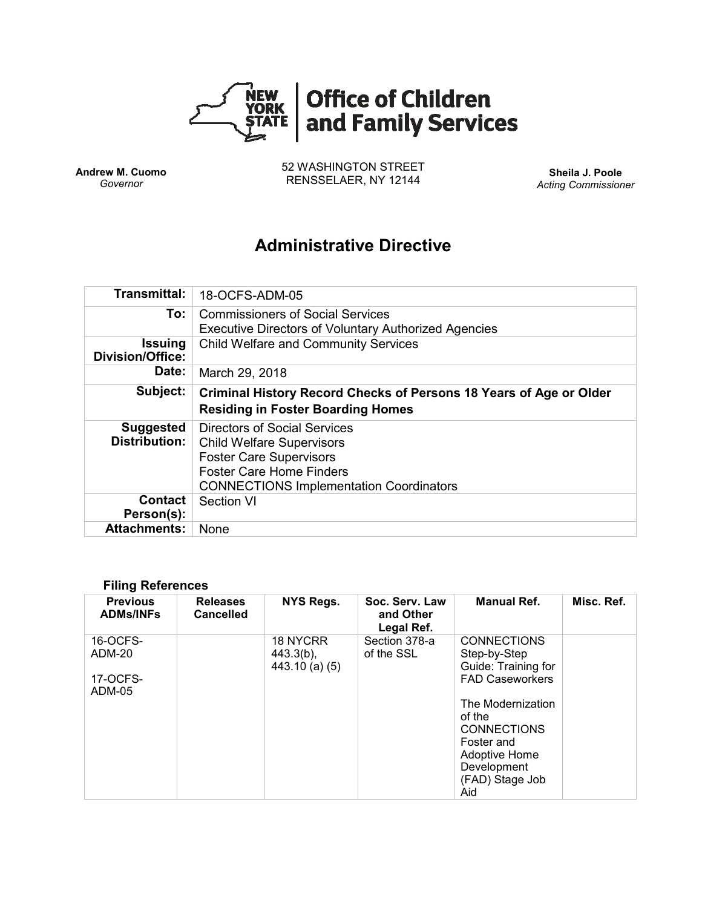

**Andrew M. Cuomo** *Governor*

52 WASHINGTON STREET RENSSELAER, NY 12144 **Sheila J. Poole**

*Acting Commissioner*

# **Administrative Directive**

| <b>Transmittal:</b>                       | 18-OCFS-ADM-05                                                                                                                                                                          |
|-------------------------------------------|-----------------------------------------------------------------------------------------------------------------------------------------------------------------------------------------|
| To:                                       | <b>Commissioners of Social Services</b><br><b>Executive Directors of Voluntary Authorized Agencies</b>                                                                                  |
| <b>Issuing</b><br><b>Division/Office:</b> | <b>Child Welfare and Community Services</b>                                                                                                                                             |
| Date:                                     | March 29, 2018                                                                                                                                                                          |
| Subject:                                  | Criminal History Record Checks of Persons 18 Years of Age or Older<br><b>Residing in Foster Boarding Homes</b>                                                                          |
| <b>Suggested</b><br><b>Distribution:</b>  | Directors of Social Services<br><b>Child Welfare Supervisors</b><br><b>Foster Care Supervisors</b><br><b>Foster Care Home Finders</b><br><b>CONNECTIONS Implementation Coordinators</b> |
| Contact<br>Person(s):                     | <b>Section VI</b>                                                                                                                                                                       |
| <b>Attachments:</b>                       | None                                                                                                                                                                                    |

#### **Filing References**

| <b>Previous</b><br><b>ADMs/INFs</b>             | <b>Releases</b><br><b>Cancelled</b> | <b>NYS Regs.</b>                             | Soc. Serv. Law<br>and Other<br>Legal Ref. | <b>Manual Ref.</b>                                                                                                                                                                                                      | Misc. Ref. |
|-------------------------------------------------|-------------------------------------|----------------------------------------------|-------------------------------------------|-------------------------------------------------------------------------------------------------------------------------------------------------------------------------------------------------------------------------|------------|
| 16-OCFS-<br>ADM-20<br>17-OCFS-<br><b>ADM-05</b> |                                     | 18 NYCRR<br>$443.3(b)$ ,<br>$443.10$ (a) (5) | Section 378-a<br>of the SSL               | <b>CONNECTIONS</b><br>Step-by-Step<br>Guide: Training for<br><b>FAD Caseworkers</b><br>The Modernization<br>of the<br><b>CONNECTIONS</b><br>Foster and<br><b>Adoptive Home</b><br>Development<br>(FAD) Stage Job<br>Aid |            |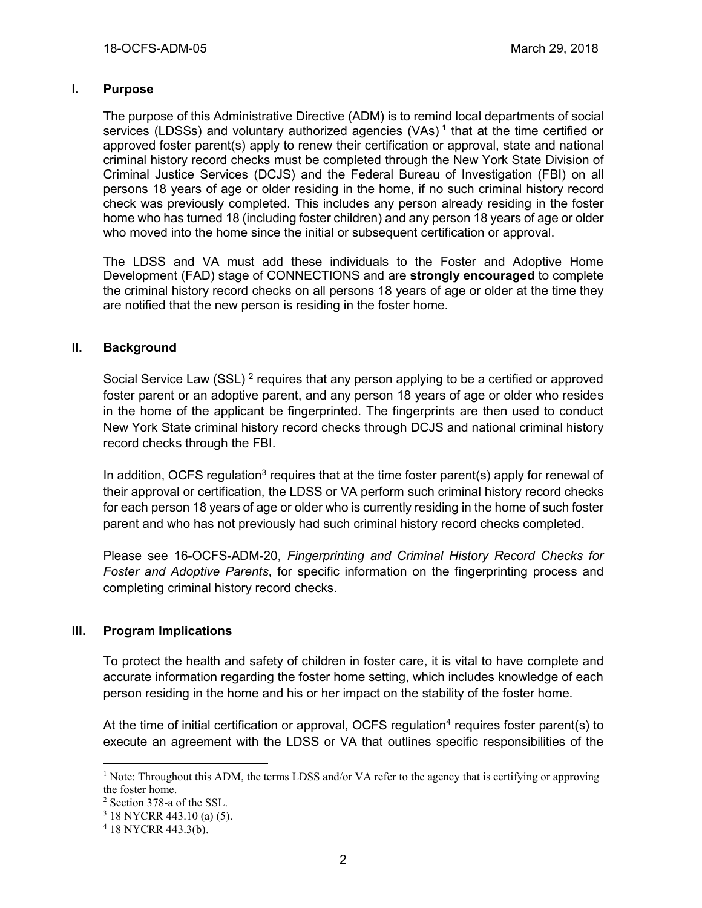## **I. Purpose**

The purpose of this Administrative Directive (ADM) is to remind local departments of social services (LDSSs) and voluntary authorized agencies (VAs)<sup>1</sup> that at the time certified or approved foster parent(s) apply to renew their certification or approval, state and national criminal history record checks must be completed through the New York State Division of Criminal Justice Services (DCJS) and the Federal Bureau of Investigation (FBI) on all persons 18 years of age or older residing in the home, if no such criminal history record check was previously completed. This includes any person already residing in the foster home who has turned 18 (including foster children) and any person 18 years of age or older who moved into the home since the initial or subsequent certification or approval.

The LDSS and VA must add these individuals to the Foster and Adoptive Home Development (FAD) stage of CONNECTIONS and are **strongly encouraged** to complete the criminal history record checks on all persons 18 years of age or older at the time they are notified that the new person is residing in the foster home.

## **II. Background**

Social Service Law (SSL)<sup>2</sup> requires that any person applying to be a certified or approved foster parent or an adoptive parent, and any person 18 years of age or older who resides in the home of the applicant be fingerprinted. The fingerprints are then used to conduct New York State criminal history record checks through DCJS and national criminal history record checks through the FBI.

In addition, OCFS regulation<sup>3</sup> requires that at the time foster parent(s) apply for renewal of their approval or certification, the LDSS or VA perform such criminal history record checks for each person 18 years of age or older who is currently residing in the home of such foster parent and who has not previously had such criminal history record checks completed.

Please see 16-OCFS-ADM-20, *Fingerprinting and Criminal History Record Checks for Foster and Adoptive Parents*, for specific information on the fingerprinting process and completing criminal history record checks.

## **III. Program Implications**

To protect the health and safety of children in foster care, it is vital to have complete and accurate information regarding the foster home setting, which includes knowledge of each person residing in the home and his or her impact on the stability of the foster home.

At the time of initial certification or approval, OCFS regulation<sup>4</sup> requires foster parent(s) to execute an agreement with the LDSS or VA that outlines specific responsibilities of the

 $\overline{a}$ 

<sup>&</sup>lt;sup>1</sup> Note: Throughout this ADM, the terms LDSS and/or VA refer to the agency that is certifying or approving the foster home.

<sup>2</sup> Section 378-a of the SSL.

<sup>3</sup> 18 NYCRR 443.10 (a) (5).

<sup>4</sup> 18 NYCRR 443.3(b).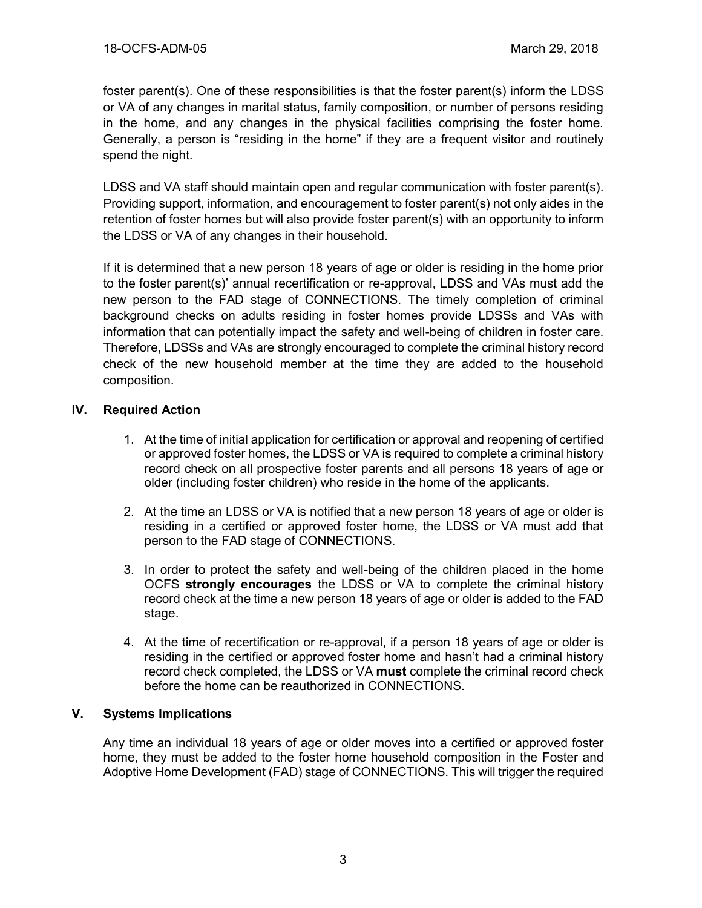foster parent(s). One of these responsibilities is that the foster parent(s) inform the LDSS or VA of any changes in marital status, family composition, or number of persons residing in the home, and any changes in the physical facilities comprising the foster home. Generally, a person is "residing in the home" if they are a frequent visitor and routinely spend the night.

LDSS and VA staff should maintain open and regular communication with foster parent(s). Providing support, information, and encouragement to foster parent(s) not only aides in the retention of foster homes but will also provide foster parent(s) with an opportunity to inform the LDSS or VA of any changes in their household.

If it is determined that a new person 18 years of age or older is residing in the home prior to the foster parent(s)' annual recertification or re-approval, LDSS and VAs must add the new person to the FAD stage of CONNECTIONS. The timely completion of criminal background checks on adults residing in foster homes provide LDSSs and VAs with information that can potentially impact the safety and well-being of children in foster care. Therefore, LDSSs and VAs are strongly encouraged to complete the criminal history record check of the new household member at the time they are added to the household composition.

## **IV. Required Action**

- 1. At the time of initial application for certification or approval and reopening of certified or approved foster homes, the LDSS or VA is required to complete a criminal history record check on all prospective foster parents and all persons 18 years of age or older (including foster children) who reside in the home of the applicants.
- 2. At the time an LDSS or VA is notified that a new person 18 years of age or older is residing in a certified or approved foster home, the LDSS or VA must add that person to the FAD stage of CONNECTIONS.
- 3. In order to protect the safety and well-being of the children placed in the home OCFS **strongly encourages** the LDSS or VA to complete the criminal history record check at the time a new person 18 years of age or older is added to the FAD stage.
- 4. At the time of recertification or re-approval, if a person 18 years of age or older is residing in the certified or approved foster home and hasn't had a criminal history record check completed, the LDSS or VA **must** complete the criminal record check before the home can be reauthorized in CONNECTIONS.

## **V. Systems Implications**

Any time an individual 18 years of age or older moves into a certified or approved foster home, they must be added to the foster home household composition in the Foster and Adoptive Home Development (FAD) stage of CONNECTIONS. This will trigger the required